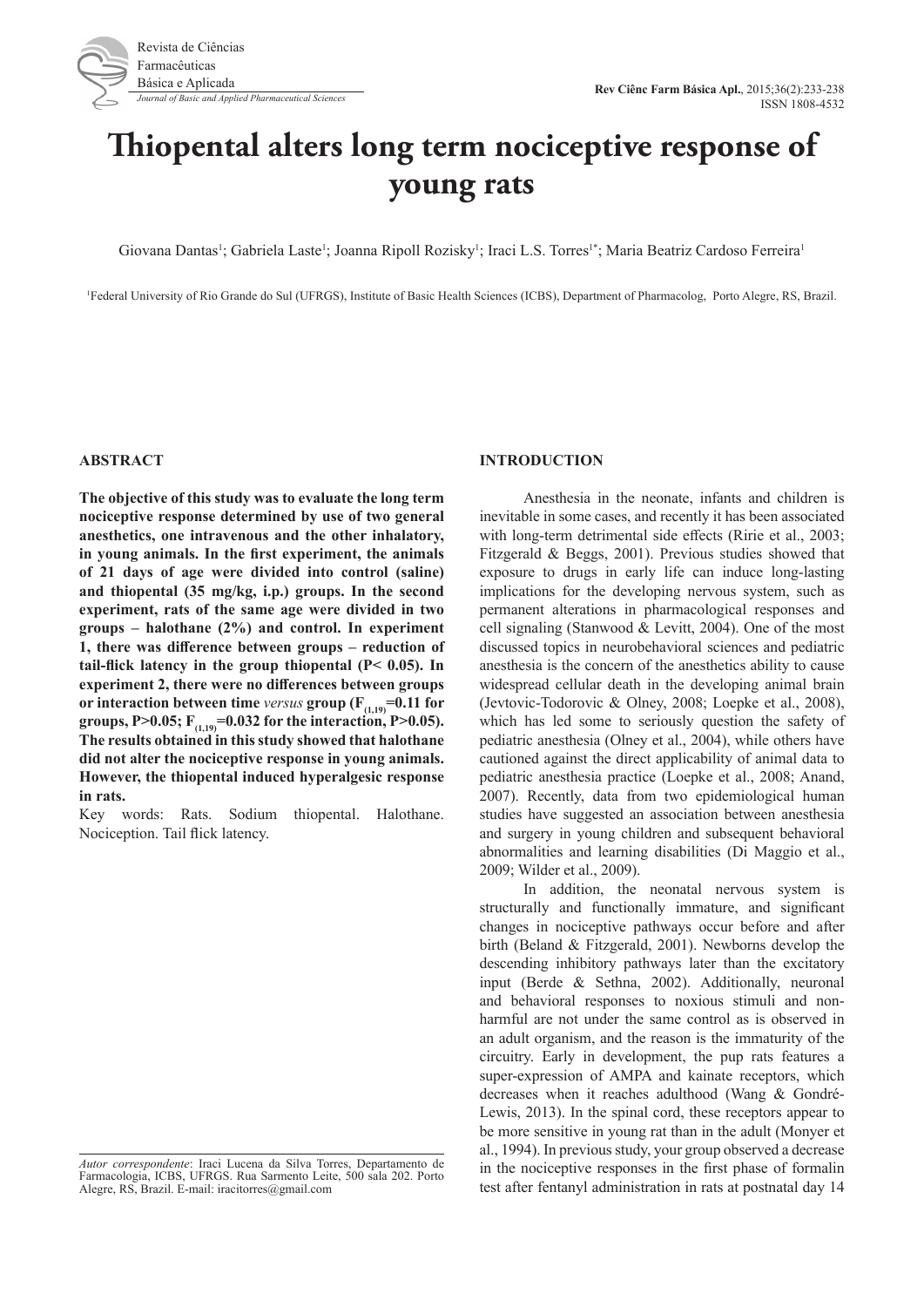

# **Thiopental alters long term nociceptive response of young rats**

Giovana Dantas<sup>1</sup>; Gabriela Laste<sup>1</sup>; Joanna Ripoll Rozisky<sup>1</sup>; Iraci L.S. Torres<sup>1\*</sup>; Maria Beatriz Cardoso Ferreira<sup>1</sup>

1 Federal University of Rio Grande do Sul (UFRGS), Institute of Basic Health Sciences (ICBS), Department of Pharmacolog, Porto Alegre, RS, Brazil.

#### **ABSTRACT**

**The objective of this study was to evaluate the long term nociceptive response determined by use of two general anesthetics, one intravenous and the other inhalatory, in young animals. In the first experiment, the animals of 21 days of age were divided into control (saline) and thiopental (35 mg/kg, i.p.) groups. In the second experiment, rats of the same age were divided in two groups – halothane (2%) and control. In experiment 1, there was difference between groups – reduction of tail-flick latency in the group thiopental (P< 0.05). In experiment 2, there were no differences between groups or interaction between time** *versus* **group** ( $F_{(1,19)} = 0.11$  for **groups, P>0.05;**  $F_{(1,19)} = 0.032$  for the interaction, P>0.05). **The results obtained in this study showed that halothane did not alter the nociceptive response in young animals. However, the thiopental induced hyperalgesic response in rats.** 

Key words: Rats. Sodium thiopental. Halothane. Nociception. Tail flick latency.

### **INTRODUCTION**

Anesthesia in the neonate, infants and children is inevitable in some cases, and recently it has been associated with long-term detrimental side effects (Ririe et al., 2003; Fitzgerald & Beggs, 2001). Previous studies showed that exposure to drugs in early life can induce long-lasting implications for the developing nervous system, such as permanent alterations in pharmacological responses and cell signaling (Stanwood & Levitt, 2004). One of the most discussed topics in neurobehavioral sciences and pediatric anesthesia is the concern of the anesthetics ability to cause widespread cellular death in the developing animal brain (Jevtovic-Todorovic & Olney, 2008; Loepke et al., 2008), which has led some to seriously question the safety of pediatric anesthesia (Olney et al., 2004), while others have cautioned against the direct applicability of animal data to pediatric anesthesia practice (Loepke et al., 2008; Anand, 2007). Recently, data from two epidemiological human studies have suggested an association between anesthesia and surgery in young children and subsequent behavioral abnormalities and learning disabilities (Di Maggio et al., 2009; Wilder et al., 2009).

In addition, the neonatal nervous system is structurally and functionally immature, and significant changes in nociceptive pathways occur before and after birth (Beland & Fitzgerald, 2001). Newborns develop the descending inhibitory pathways later than the excitatory input (Berde & Sethna, 2002). Additionally, neuronal and behavioral responses to noxious stimuli and nonharmful are not under the same control as is observed in an adult organism, and the reason is the immaturity of the circuitry. Early in development, the pup rats features a super-expression of AMPA and kainate receptors, which decreases when it reaches adulthood (Wang & Gondré-Lewis, 2013). In the spinal cord, these receptors appear to be more sensitive in young rat than in the adult (Monyer et al., 1994). In previous study, your group observed a decrease in the nociceptive responses in the first phase of formalin test after fentanyl administration in rats at postnatal day 14

*Autor correspondente*: Iraci Lucena da Silva Torres, Departamento de Farmacologia, ICBS, UFRGS. Rua Sarmento Leite, 500 sala 202. Porto Alegre, RS, Brazil. E-mail: iracitorres@gmail.com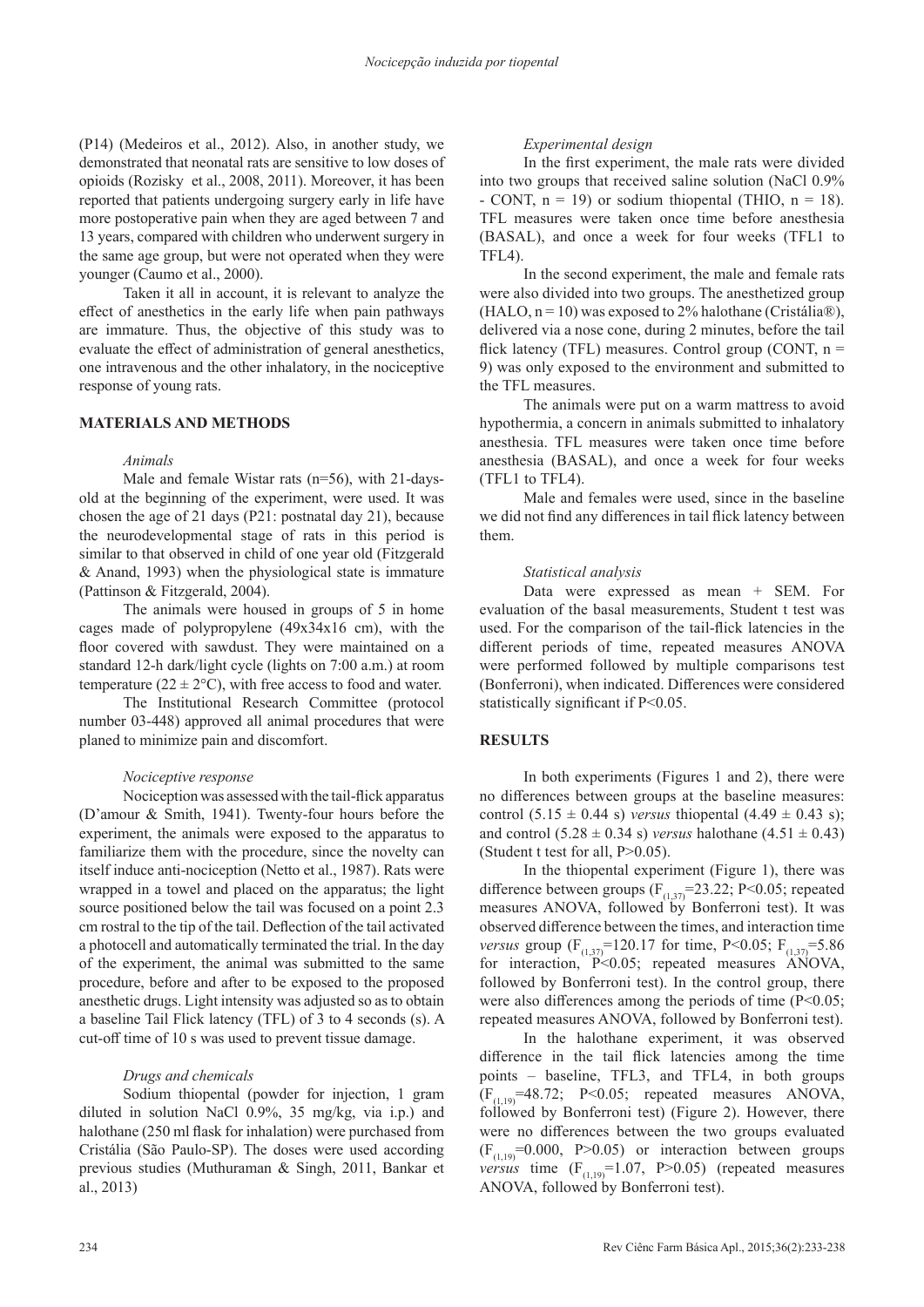(P14) (Medeiros et al., 2012). Also, in another study, we demonstrated that neonatal rats are sensitive to low doses of opioids (Rozisky et al., 2008, 2011). Moreover, it has been reported that patients undergoing surgery early in life have more postoperative pain when they are aged between 7 and 13 years, compared with children who underwent surgery in the same age group, but were not operated when they were younger (Caumo et al., 2000).

Taken it all in account, it is relevant to analyze the effect of anesthetics in the early life when pain pathways are immature. Thus, the objective of this study was to evaluate the effect of administration of general anesthetics, one intravenous and the other inhalatory, in the nociceptive response of young rats.

## **MATERIALS AND METHODS**

### *Animals*

Male and female Wistar rats (n=56), with 21-daysold at the beginning of the experiment, were used. It was chosen the age of 21 days (P21: postnatal day 21), because the neurodevelopmental stage of rats in this period is similar to that observed in child of one year old (Fitzgerald & Anand, 1993) when the physiological state is immature (Pattinson & Fitzgerald, 2004).

The animals were housed in groups of 5 in home cages made of polypropylene (49x34x16 cm), with the floor covered with sawdust. They were maintained on a standard 12-h dark/light cycle (lights on 7:00 a.m.) at room temperature ( $22 \pm 2$ °C), with free access to food and water.

The Institutional Research Committee (protocol number 03-448) approved all animal procedures that were planed to minimize pain and discomfort.

### *Nociceptive response*

Nociception was assessed with the tail-flick apparatus (D'amour & Smith, 1941). Twenty-four hours before the experiment, the animals were exposed to the apparatus to familiarize them with the procedure, since the novelty can itself induce anti-nociception (Netto et al., 1987). Rats were wrapped in a towel and placed on the apparatus; the light source positioned below the tail was focused on a point 2.3 cm rostral to the tip of the tail. Deflection of the tail activated a photocell and automatically terminated the trial. In the day of the experiment, the animal was submitted to the same procedure, before and after to be exposed to the proposed anesthetic drugs. Light intensity was adjusted so as to obtain a baseline Tail Flick latency (TFL) of 3 to 4 seconds (s). A cut-off time of 10 s was used to prevent tissue damage.

### *Drugs and chemicals*

Sodium thiopental (powder for injection, 1 gram diluted in solution NaCl 0.9%, 35 mg/kg, via i.p.) and halothane (250 ml flask for inhalation) were purchased from Cristália (São Paulo-SP). The doses were used according previous studies (Muthuraman & Singh, 2011, Bankar et al., 2013)

## *Experimental design*

In the first experiment, the male rats were divided into two groups that received saline solution (NaCl 0.9% - CONT,  $n = 19$ ) or sodium thiopental (THIO,  $n = 18$ ). TFL measures were taken once time before anesthesia (BASAL), and once a week for four weeks (TFL1 to TFL4).

In the second experiment, the male and female rats were also divided into two groups. The anesthetized group (HALO,  $n = 10$ ) was exposed to 2% halothane (Cristália®), delivered via a nose cone, during 2 minutes, before the tail flick latency (TFL) measures. Control group (CONT,  $n =$ 9) was only exposed to the environment and submitted to the TFL measures.

The animals were put on a warm mattress to avoid hypothermia, a concern in animals submitted to inhalatory anesthesia. TFL measures were taken once time before anesthesia (BASAL), and once a week for four weeks (TFL1 to TFL4).

Male and females were used, since in the baseline we did not find any differences in tail flick latency between them.

### *Statistical analysis*

Data were expressed as mean + SEM. For evaluation of the basal measurements, Student t test was used. For the comparison of the tail-flick latencies in the different periods of time, repeated measures ANOVA were performed followed by multiple comparisons test (Bonferroni), when indicated. Differences were considered statistically significant if P<0.05.

### **RESULTS**

In both experiments (Figures 1 and 2), there were no differences between groups at the baseline measures: control  $(5.15 \pm 0.44 \text{ s})$  *versus* thiopental  $(4.49 \pm 0.43 \text{ s})$ ; and control  $(5.28 \pm 0.34 \text{ s})$  *versus* halothane  $(4.51 \pm 0.43)$ (Student t test for all, P>0.05).

In the thiopental experiment (Figure 1), there was difference between groups  $(F_{(1,37)}=23.22; P<0.05;$  repeated measures ANOVA, followed by Bonferroni test). It was observed difference between the times, and interaction time *versus* group ( $F_{(1,37)}$ =120.17 for time, P<0.05;  $F_{(1,37)}$ =5.86 for interaction,  $P<0.05$ ; repeated measures ANOVA, followed by Bonferroni test). In the control group, there were also differences among the periods of time  $(P<0.05)$ ; repeated measures ANOVA, followed by Bonferroni test).

In the halothane experiment, it was observed difference in the tail flick latencies among the time points – baseline, TFL3, and TFL4, in both groups  $(F<sub>(1,19)</sub>=48.72; P<0.05; repeated measures ANOVA,$ followed by Bonferroni test) (Figure 2). However, there were no differences between the two groups evaluated  $(F<sub>(1,19)</sub>=0.000, P>0.05)$  or interaction between groups *versus* time  $(F_{(1,19)}=1.07, P>0.05)$  (repeated measures ANOVA, followed by Bonferroni test).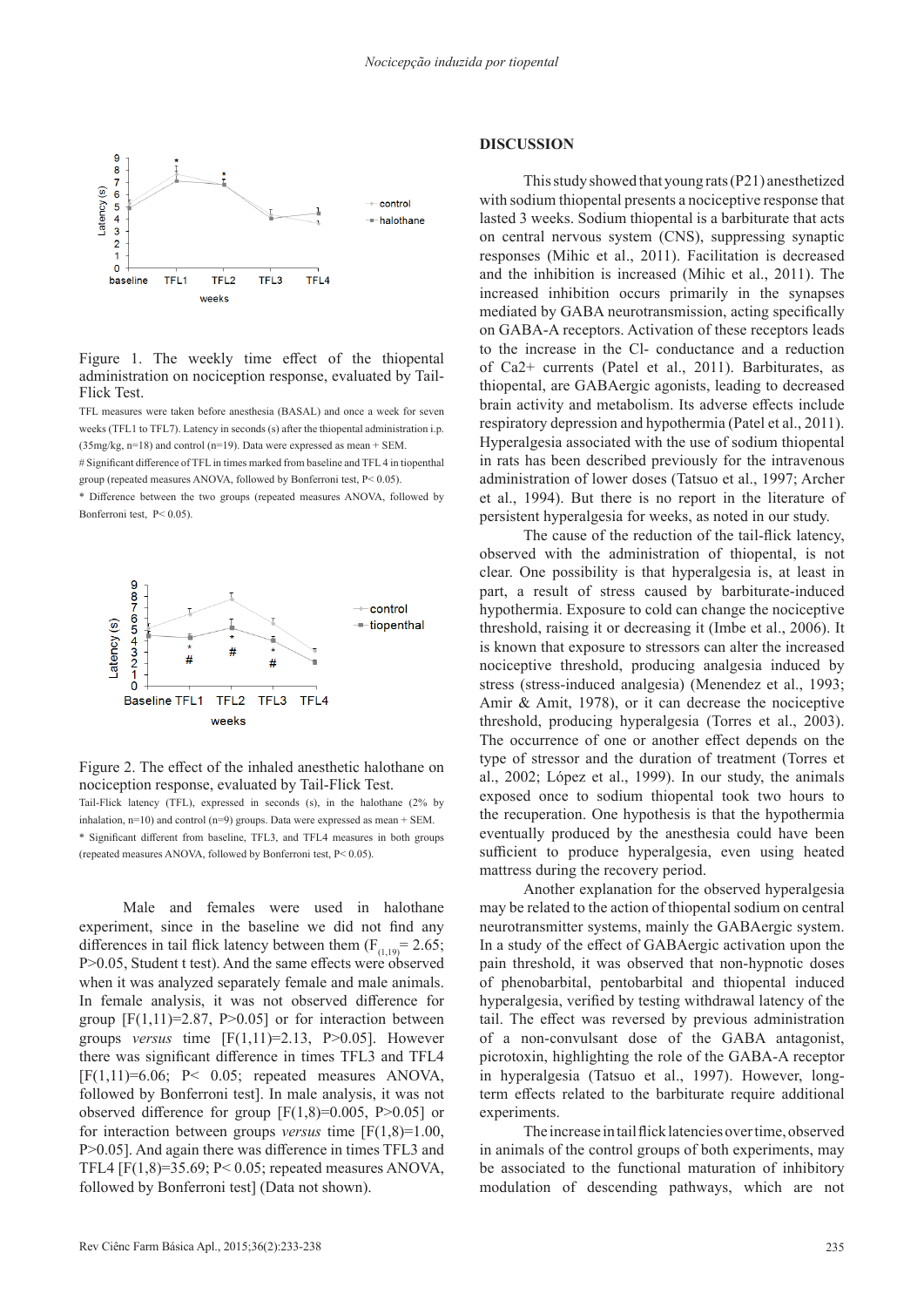

Figure 1. The weekly time effect of the thiopental administration on nociception response, evaluated by Tail-Flick Test.

TFL measures were taken before anesthesia (BASAL) and once a week for seven weeks (TFL1 to TFL7). Latency in seconds (s) after the thiopental administration i.p. (35mg/kg, n=18) and control (n=19). Data were expressed as mean + SEM.

# Significant difference of TFL in times marked from baseline and TFL 4 in tiopenthal group (repeated measures ANOVA, followed by Bonferroni test, P< 0.05).

\* Difference between the two groups (repeated measures ANOVA, followed by Bonferroni test, P< 0.05).



Figure 2. The effect of the inhaled anesthetic halothane on nociception response, evaluated by Tail-Flick Test. Tail-Flick latency (TFL), expressed in seconds (s), in the halothane (2% by inhalation,  $n=10$ ) and control ( $n=9$ ) groups. Data were expressed as mean + SEM. \* Significant different from baseline, TFL3, and TFL4 measures in both groups (repeated measures ANOVA, followed by Bonferroni test, P< 0.05).

Male and females were used in halothane experiment, since in the baseline we did not find any differences in tail flick latency between them  $(F_{(1,19)} = 2.65;$ P>0.05, Student t test). And the same effects were observed when it was analyzed separately female and male animals. In female analysis, it was not observed difference for group  $[F(1,11)=2.87, P>0.05]$  or for interaction between groups *versus* time  $[F(1,11)=2.13, P>0.05]$ . However there was significant difference in times TFL3 and TFL4  $[F(1,11)=6.06; P< 0.05; repeated measures ANOVA,$ followed by Bonferroni test]. In male analysis, it was not observed difference for group  $[F(1,8)=0.005, P>0.05]$  or for interaction between groups *versus* time [F(1,8)=1.00, P>0.05]. And again there was difference in times TFL3 and TFL4 [F(1,8)=35.69; P< 0.05; repeated measures ANOVA, followed by Bonferroni test] (Data not shown).

## **DISCUSSION**

This study showed that young rats (P21) anesthetized with sodium thiopental presents a nociceptive response that lasted 3 weeks. Sodium thiopental is a barbiturate that acts on central nervous system (CNS), suppressing synaptic responses (Mihic et al., 2011). Facilitation is decreased and the inhibition is increased (Mihic et al., 2011). The increased inhibition occurs primarily in the synapses mediated by GABA neurotransmission, acting specifically on GABA-A receptors. Activation of these receptors leads to the increase in the Cl- conductance and a reduction of Ca2+ currents (Patel et al., 2011). Barbiturates, as thiopental, are GABAergic agonists, leading to decreased brain activity and metabolism. Its adverse effects include respiratory depression and hypothermia (Patel et al., 2011). Hyperalgesia associated with the use of sodium thiopental in rats has been described previously for the intravenous administration of lower doses (Tatsuo et al., 1997; Archer et al., 1994). But there is no report in the literature of persistent hyperalgesia for weeks, as noted in our study.

The cause of the reduction of the tail-flick latency, observed with the administration of thiopental, is not clear. One possibility is that hyperalgesia is, at least in part, a result of stress caused by barbiturate-induced hypothermia. Exposure to cold can change the nociceptive threshold, raising it or decreasing it (Imbe et al., 2006). It is known that exposure to stressors can alter the increased nociceptive threshold, producing analgesia induced by stress (stress-induced analgesia) (Menendez et al., 1993; Amir & Amit, 1978), or it can decrease the nociceptive threshold, producing hyperalgesia (Torres et al., 2003). The occurrence of one or another effect depends on the type of stressor and the duration of treatment (Torres et al., 2002; López et al., 1999). In our study, the animals exposed once to sodium thiopental took two hours to the recuperation. One hypothesis is that the hypothermia eventually produced by the anesthesia could have been sufficient to produce hyperalgesia, even using heated mattress during the recovery period.

Another explanation for the observed hyperalgesia may be related to the action of thiopental sodium on central neurotransmitter systems, mainly the GABAergic system. In a study of the effect of GABAergic activation upon the pain threshold, it was observed that non-hypnotic doses of phenobarbital, pentobarbital and thiopental induced hyperalgesia, verified by testing withdrawal latency of the tail. The effect was reversed by previous administration of a non-convulsant dose of the GABA antagonist, picrotoxin, highlighting the role of the GABA-A receptor in hyperalgesia (Tatsuo et al., 1997). However, longterm effects related to the barbiturate require additional experiments.

The increase in tail flick latencies over time, observed in animals of the control groups of both experiments, may be associated to the functional maturation of inhibitory modulation of descending pathways, which are not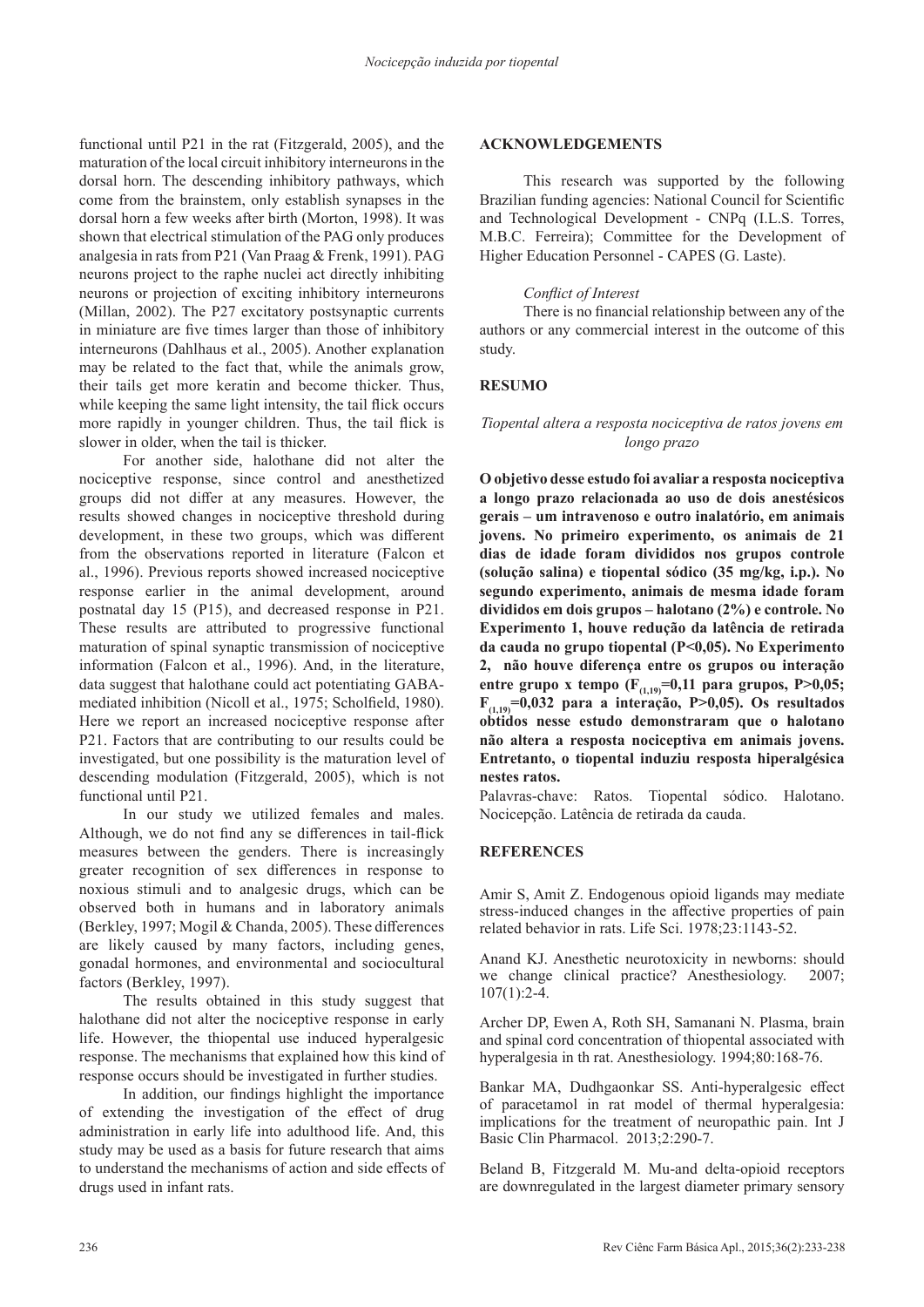functional until P21 in the rat (Fitzgerald, 2005), and the maturation of the local circuit inhibitory interneurons in the dorsal horn. The descending inhibitory pathways, which come from the brainstem, only establish synapses in the dorsal horn a few weeks after birth (Morton, 1998). It was shown that electrical stimulation of the PAG only produces analgesia in rats from P21 (Van Praag & Frenk, 1991). PAG neurons project to the raphe nuclei act directly inhibiting neurons or projection of exciting inhibitory interneurons (Millan, 2002). The P27 excitatory postsynaptic currents in miniature are five times larger than those of inhibitory interneurons (Dahlhaus et al., 2005). Another explanation may be related to the fact that, while the animals grow, their tails get more keratin and become thicker. Thus, while keeping the same light intensity, the tail flick occurs more rapidly in younger children. Thus, the tail flick is slower in older, when the tail is thicker.

For another side, halothane did not alter the nociceptive response, since control and anesthetized groups did not differ at any measures. However, the results showed changes in nociceptive threshold during development, in these two groups, which was different from the observations reported in literature (Falcon et al., 1996). Previous reports showed increased nociceptive response earlier in the animal development, around postnatal day 15 (P15), and decreased response in P21. These results are attributed to progressive functional maturation of spinal synaptic transmission of nociceptive information (Falcon et al., 1996). And, in the literature, data suggest that halothane could act potentiating GABAmediated inhibition (Nicoll et al., 1975; Scholfield, 1980). Here we report an increased nociceptive response after P21. Factors that are contributing to our results could be investigated, but one possibility is the maturation level of descending modulation (Fitzgerald, 2005), which is not functional until P21.

In our study we utilized females and males. Although, we do not find any se differences in tail-flick measures between the genders. There is increasingly greater recognition of sex differences in response to noxious stimuli and to analgesic drugs, which can be observed both in humans and in laboratory animals (Berkley, 1997; Mogil & Chanda, 2005). These differences are likely caused by many factors, including genes, gonadal hormones, and environmental and sociocultural factors (Berkley, 1997).

The results obtained in this study suggest that halothane did not alter the nociceptive response in early life. However, the thiopental use induced hyperalgesic response. The mechanisms that explained how this kind of response occurs should be investigated in further studies.

In addition, our findings highlight the importance of extending the investigation of the effect of drug administration in early life into adulthood life. And, this study may be used as a basis for future research that aims to understand the mechanisms of action and side effects of drugs used in infant rats.

## **ACKNOWLEDGEMENTS**

This research was supported by the following Brazilian funding agencies: National Council for Scientific and Technological Development - CNPq (I.L.S. Torres, M.B.C. Ferreira); Committee for the Development of Higher Education Personnel - CAPES (G. Laste).

## *Conflict of Interest*

There is no financial relationship between any of the authors or any commercial interest in the outcome of this study.

## **RESUMO**

## *Tiopental altera a resposta nociceptiva de ratos jovens em longo prazo*

**O objetivo desse estudo foi avaliar a resposta nociceptiva a longo prazo relacionada ao uso de dois anestésicos gerais – um intravenoso e outro inalatório, em animais jovens. No primeiro experimento, os animais de 21 dias de idade foram divididos nos grupos controle (solução salina) e tiopental sódico (35 mg/kg, i.p.). No segundo experimento, animais de mesma idade foram divididos em dois grupos – halotano (2%) e controle. No Experimento 1, houve redução da latência de retirada da cauda no grupo tiopental (P<0,05). No Experimento 2, não houve diferença entre os grupos ou interação entre grupo x tempo (F(1,19)=0,11 para grupos, P>0,05; F(1,19)=0,032 para a interação, P>0,05). Os resultados obtidos nesse estudo demonstraram que o halotano não altera a resposta nociceptiva em animais jovens. Entretanto, o tiopental induziu resposta hiperalgésica nestes ratos.** 

Palavras-chave: Ratos. Tiopental sódico. Halotano. Nocicepção. Latência de retirada da cauda.

## **REFERENCES**

Amir S, Amit Z. Endogenous opioid ligands may mediate stress-induced changes in the affective properties of pain related behavior in rats. Life Sci. 1978;23:1143-52.

Anand KJ. Anesthetic neurotoxicity in newborns: should we change clinical practice? Anesthesiology. 2007; 107(1):2-4.

Archer DP, Ewen A, Roth SH, Samanani N. Plasma, brain and spinal cord concentration of thiopental associated with hyperalgesia in th rat. Anesthesiology. 1994;80:168-76.

Bankar MA, Dudhgaonkar SS. Anti-hyperalgesic effect of paracetamol in rat model of thermal hyperalgesia: implications for the treatment of neuropathic pain. Int J Basic Clin Pharmacol. 2013;2:290-7.

Beland B, Fitzgerald M. Mu-and delta-opioid receptors are downregulated in the largest diameter primary sensory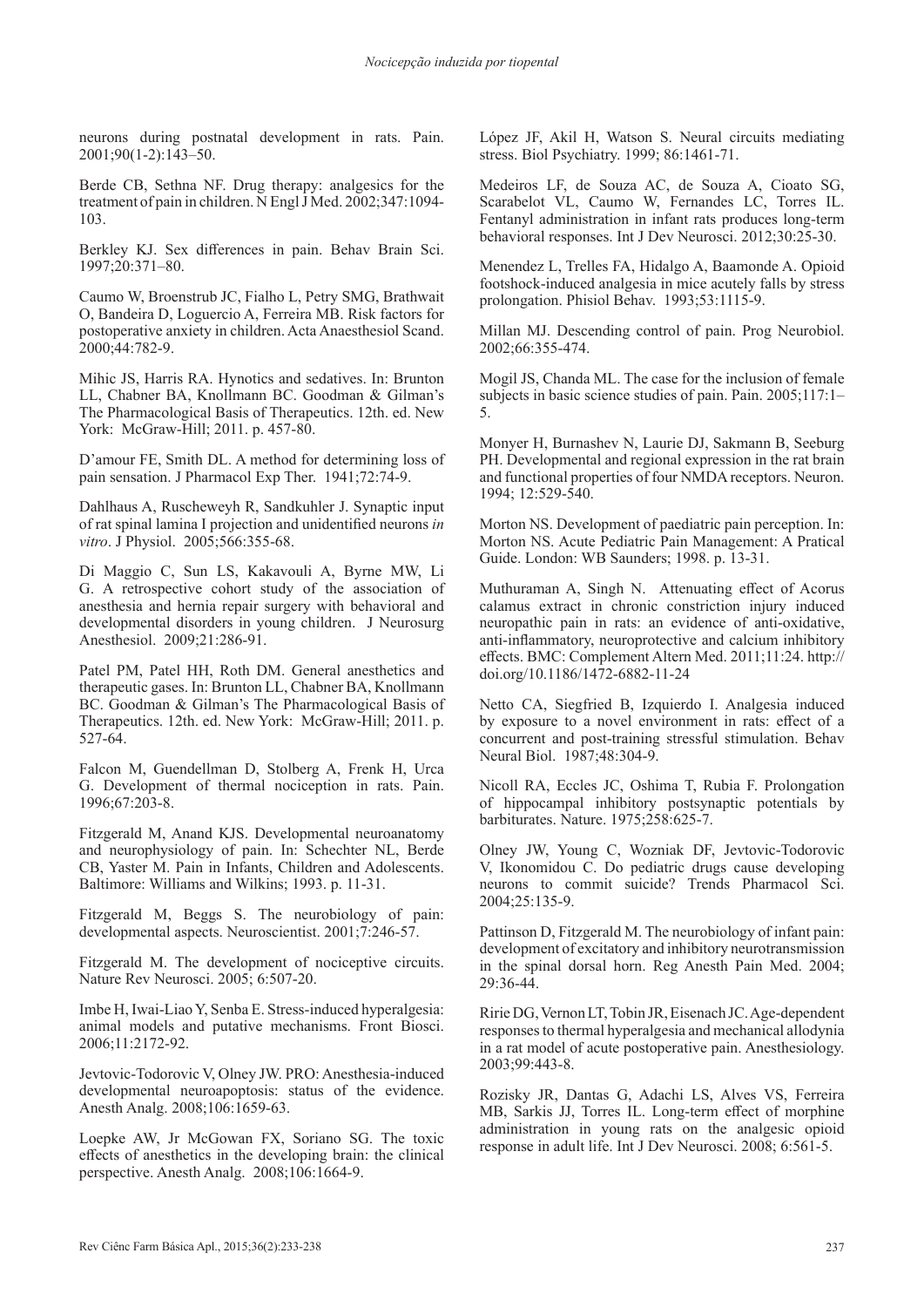neurons during postnatal development in rats. Pain. 2001;90(1-2):143–50.

Berde CB, Sethna NF. Drug therapy: analgesics for the treatment of pain in children. N Engl J Med. 2002;347:1094- 103.

Berkley KJ. Sex differences in pain. Behav Brain Sci. 1997;20:371–80.

Caumo W, Broenstrub JC, Fialho L, Petry SMG, Brathwait O, Bandeira D, Loguercio A, Ferreira MB. Risk factors for postoperative anxiety in children. Acta Anaesthesiol Scand. 2000;44:782-9.

Mihic JS, Harris RA. Hynotics and sedatives. In: Brunton LL, Chabner BA, Knollmann BC. Goodman & Gilman's The Pharmacological Basis of Therapeutics. 12th. ed. New York: McGraw-Hill; 2011. p. 457-80.

D'amour FE, Smith DL. A method for determining loss of pain sensation. J Pharmacol Exp Ther. 1941;72:74-9.

Dahlhaus A, Ruscheweyh R, Sandkuhler J. Synaptic input of rat spinal lamina I projection and unidentified neurons *in vitro*. J Physiol. 2005;566:355-68.

Di Maggio C, Sun LS, Kakavouli A, Byrne MW, Li G. A retrospective cohort study of the association of anesthesia and hernia repair surgery with behavioral and developmental disorders in young children. J Neurosurg Anesthesiol. 2009;21:286-91.

Patel PM, Patel HH, Roth DM. General anesthetics and therapeutic gases. In: Brunton LL, Chabner BA, Knollmann BC. Goodman & Gilman's The Pharmacological Basis of Therapeutics. 12th. ed. New York: McGraw-Hill; 2011. p. 527-64.

Falcon M, Guendellman D, Stolberg A, Frenk H, Urca G. Development of thermal nociception in rats. Pain. 1996;67:203-8.

Fitzgerald M, Anand KJS. Developmental neuroanatomy and neurophysiology of pain. In: Schechter NL, Berde CB, Yaster M. Pain in Infants, Children and Adolescents. Baltimore: Williams and Wilkins; 1993. p. 11-31.

Fitzgerald M, Beggs S. The neurobiology of pain: developmental aspects. Neuroscientist. 2001;7:246-57.

Fitzgerald M. The development of nociceptive circuits. Nature Rev Neurosci. 2005; 6:507-20.

Imbe H, Iwai-Liao Y, Senba E. Stress-induced hyperalgesia: animal models and putative mechanisms. Front Biosci. 2006;11:2172-92.

Jevtovic-Todorovic V, Olney JW. PRO: Anesthesia-induced developmental neuroapoptosis: status of the evidence. Anesth Analg. 2008;106:1659-63.

Loepke AW, Jr McGowan FX, Soriano SG. The toxic effects of anesthetics in the developing brain: the clinical perspective. Anesth Analg. 2008;106:1664-9.

López JF, Akil H, Watson S. Neural circuits mediating stress. Biol Psychiatry. 1999; 86:1461-71.

Medeiros LF, de Souza AC, de Souza A, Cioato SG, Scarabelot VL, Caumo W, Fernandes LC, Torres IL. Fentanyl administration in infant rats produces long-term behavioral responses. Int J Dev Neurosci. 2012;30:25-30.

Menendez L, Trelles FA, Hidalgo A, Baamonde A. Opioid footshock-induced analgesia in mice acutely falls by stress prolongation. Phisiol Behav. 1993;53:1115-9.

Millan MJ. Descending control of pain. Prog Neurobiol. 2002;66:355-474.

Mogil JS, Chanda ML. The case for the inclusion of female subjects in basic science studies of pain. Pain. 2005;117:1– 5.

Monyer H, Burnashev N, Laurie DJ, Sakmann B, Seeburg PH. Developmental and regional expression in the rat brain and functional properties of four NMDA receptors. Neuron. 1994; 12:529-540.

Morton NS. Development of paediatric pain perception. In: Morton NS. Acute Pediatric Pain Management: A Pratical Guide. London: WB Saunders; 1998. p. 13-31.

Muthuraman A, Singh N. Attenuating effect of Acorus calamus extract in chronic constriction injury induced neuropathic pain in rats: an evidence of anti-oxidative, anti-inflammatory, neuroprotective and calcium inhibitory effects. BMC: Complement Altern Med. 2011;11:24. http:// doi.org/10.1186/1472-6882-11-24

Netto CA, Siegfried B, Izquierdo I. Analgesia induced by exposure to a novel environment in rats: effect of a concurrent and post-training stressful stimulation. Behav Neural Biol. 1987;48:304-9.

Nicoll RA, Eccles JC, Oshima T, Rubia F. Prolongation of hippocampal inhibitory postsynaptic potentials by barbiturates. Nature. 1975;258:625-7.

Olney JW, Young C, Wozniak DF, Jevtovic-Todorovic V, Ikonomidou C. Do pediatric drugs cause developing neurons to commit suicide? Trends Pharmacol Sci. 2004;25:135-9.

Pattinson D, Fitzgerald M. The neurobiology of infant pain: development of excitatory and inhibitory neurotransmission in the spinal dorsal horn. Reg Anesth Pain Med. 2004; 29:36-44.

Ririe DG, Vernon LT, Tobin JR, Eisenach JC. Age-dependent responses to thermal hyperalgesia and mechanical allodynia in a rat model of acute postoperative pain. Anesthesiology. 2003;99:443-8.

Rozisky JR, Dantas G, Adachi LS, Alves VS, Ferreira MB, Sarkis JJ, Torres IL. Long-term effect of morphine administration in young rats on the analgesic opioid response in adult life. Int J Dev Neurosci. 2008; 6:561-5.